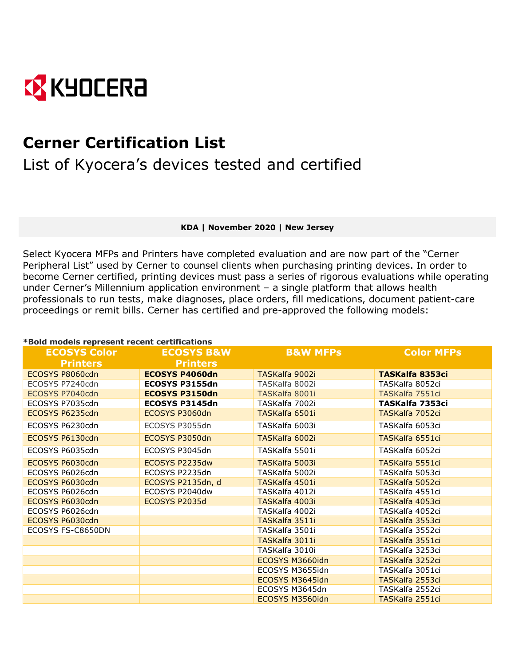

## **Cerner Certification List**

List of Kyocera's devices tested and certified

**KDA | November 2020 | New Jersey**

Select Kyocera MFPs and Printers have completed evaluation and are now part of the "Cerner Peripheral List" used by Cerner to counsel clients when purchasing printing devices. In order to become Cerner certified, printing devices must pass a series of rigorous evaluations while operating under Cerner's Millennium application environment – a single platform that allows health professionals to run tests, make diagnoses, place orders, fill medications, document patient-care proceedings or remit bills. Cerner has certified and pre-approved the following models:

## **\*Bold models represent recent certifications**

| <b>ECOSYS Color</b> | <b>ECOSYS B&amp;W</b> | <b>B&amp;W MFPs</b> | <b>Color MFPs</b>      |
|---------------------|-----------------------|---------------------|------------------------|
| <b>Printers</b>     | <b>Printers</b>       |                     |                        |
| ECOSYS P8060cdn     | <b>ECOSYS P4060dn</b> | TASKalfa 9002i      | <b>TASKalfa 8353ci</b> |
| ECOSYS P7240cdn     | ECOSYS P3155dn        | TASKalfa 8002i      | TASKalfa 8052ci        |
| ECOSYS P7040cdn     | <b>ECOSYS P3150dn</b> | TASKalfa 8001i      | TASKalfa 7551ci        |
| ECOSYS P7035cdn     | ECOSYS P3145dn        | TASKalfa 7002i      | TASKalfa 7353ci        |
| ECOSYS P6235cdn     | ECOSYS P3060dn        | TASKalfa 6501i      | TASKalfa 7052ci        |
| ECOSYS P6230cdn     | ECOSYS P3055dn        | TASKalfa 6003i      | TASKalfa 6053ci        |
| ECOSYS P6130cdn     | ECOSYS P3050dn        | TASKalfa 6002i      | TASKalfa 6551ci        |
| ECOSYS P6035cdn     | ECOSYS P3045dn        | TASKalfa 5501i      | TASKalfa 6052ci        |
| ECOSYS P6030cdn     | ECOSYS P2235dw        | TASKalfa 5003i      | <b>TASKalfa 5551ci</b> |
| ECOSYS P6026cdn     | ECOSYS P2235dn        | TASKalfa 5002i      | TASKalfa 5053ci        |
| ECOSYS P6030cdn     | ECOSYS P2135dn, d     | TASKalfa 4501i      | TASKalfa 5052ci        |
| ECOSYS P6026cdn     | ECOSYS P2040dw        | TASKalfa 4012i      | TASKalfa 4551ci        |
| ECOSYS P6030cdn     | ECOSYS P2035d         | TASKalfa 4003i      | TASKalfa 4053ci        |
| ECOSYS P6026cdn     |                       | TASKalfa 4002i      | TASKalfa 4052ci        |
| ECOSYS P6030cdn     |                       | TASKalfa 3511i      | TASKalfa 3553ci        |
| ECOSYS FS-C8650DN   |                       | TASKalfa 3501i      | TASKalfa 3552ci        |
|                     |                       | TASKalfa 3011i      | TASKalfa 3551ci        |
|                     |                       | TASKalfa 3010i      | TASKalfa 3253ci        |
|                     |                       | ECOSYS M3660idn     | TASKalfa 3252ci        |
|                     |                       | ECOSYS M3655idn     | TASKalfa 3051ci        |
|                     |                       | ECOSYS M3645idn     | TASKalfa 2553ci        |
|                     |                       | ECOSYS M3645dn      | TASKalfa 2552ci        |
|                     |                       | ECOSYS M3560idn     | TASKalfa 2551ci        |